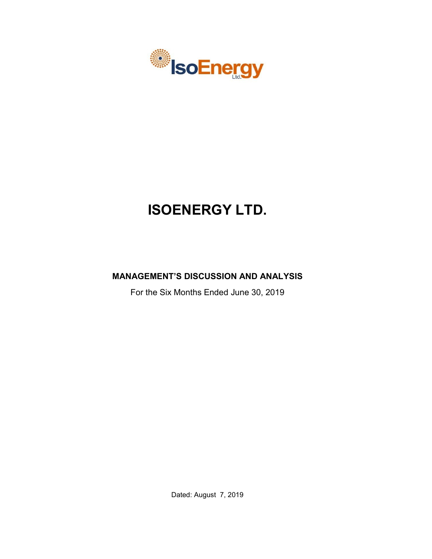

# **ISOENERGY LTD.**

# **MANAGEMENT'S DISCUSSION AND ANALYSIS**

For the Six Months Ended June 30, 2019

Dated: August 7, 2019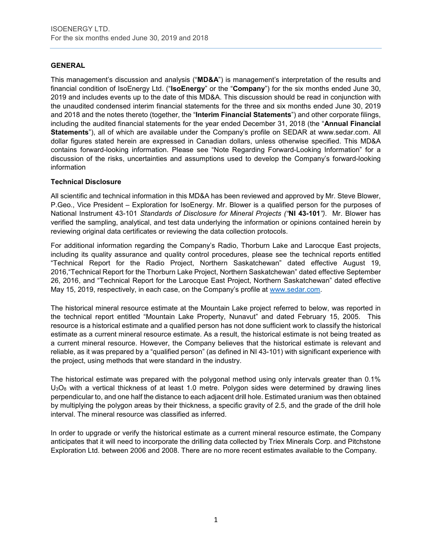# **GENERAL**

This management's discussion and analysis ("**MD&A**") is management's interpretation of the results and financial condition of IsoEnergy Ltd. ("**IsoEnergy**" or the "**Company**") for the six months ended June 30, 2019 and includes events up to the date of this MD&A. This discussion should be read in conjunction with the unaudited condensed interim financial statements for the three and six months ended June 30, 2019 and 2018 and the notes thereto (together, the "**Interim Financial Statements**") and other corporate filings, including the audited financial statements for the year ended December 31, 2018 (the "**Annual Financial Statements**"), all of which are available under the Company's profile on SEDAR at www.sedar.com. All dollar figures stated herein are expressed in Canadian dollars, unless otherwise specified. This MD&A contains forward-looking information. Please see "Note Regarding Forward-Looking Information" for a discussion of the risks, uncertainties and assumptions used to develop the Company's forward-looking information

# **Technical Disclosure**

All scientific and technical information in this MD&A has been reviewed and approved by Mr. Steve Blower, P.Geo., Vice President – Exploration for IsoEnergy. Mr. Blower is a qualified person for the purposes of National Instrument 43-101 *Standards of Disclosure for Mineral Projects ("***NI 43-101***")*. Mr. Blower has verified the sampling, analytical, and test data underlying the information or opinions contained herein by reviewing original data certificates or reviewing the data collection protocols.

For additional information regarding the Company's Radio, Thorburn Lake and Larocque East projects, including its quality assurance and quality control procedures, please see the technical reports entitled "Technical Report for the Radio Project, Northern Saskatchewan" dated effective August 19, 2016,"Technical Report for the Thorburn Lake Project, Northern Saskatchewan" dated effective September 26, 2016, and "Technical Report for the Larocque East Project, Northern Saskatchewan" dated effective May 15, 2019, respectively, in each case, on the Company's profile at [www.sedar.com.](http://www.sedar.com/)

The historical mineral resource estimate at the Mountain Lake project referred to below, was reported in the technical report entitled "Mountain Lake Property, Nunavut" and dated February 15, 2005. This resource is a historical estimate and a qualified person has not done sufficient work to classify the historical estimate as a current mineral resource estimate. As a result, the historical estimate is not being treated as a current mineral resource. However, the Company believes that the historical estimate is relevant and reliable, as it was prepared by a "qualified person" (as defined in NI 43-101) with significant experience with the project, using methods that were standard in the industry.

The historical estimate was prepared with the polygonal method using only intervals greater than 0.1%  $U_3O_8$  with a vertical thickness of at least 1.0 metre. Polygon sides were determined by drawing lines perpendicular to, and one half the distance to each adjacent drill hole. Estimated uranium was then obtained by multiplying the polygon areas by their thickness, a specific gravity of 2.5, and the grade of the drill hole interval. The mineral resource was classified as inferred.

In order to upgrade or verify the historical estimate as a current mineral resource estimate, the Company anticipates that it will need to incorporate the drilling data collected by Triex Minerals Corp. and Pitchstone Exploration Ltd. between 2006 and 2008. There are no more recent estimates available to the Company.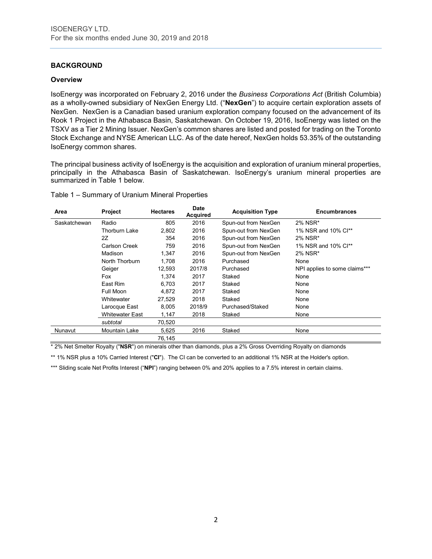# **BACKGROUND**

#### **Overview**

IsoEnergy was incorporated on February 2, 2016 under the *Business Corporations Act* (British Columbia) as a wholly-owned subsidiary of NexGen Energy Ltd. ("**NexGen**") to acquire certain exploration assets of NexGen. NexGen is a Canadian based uranium exploration company focused on the advancement of its Rook 1 Project in the Athabasca Basin, Saskatchewan. On October 19, 2016, IsoEnergy was listed on the TSXV as a Tier 2 Mining Issuer. NexGen's common shares are listed and posted for trading on the Toronto Stock Exchange and NYSE American LLC. As of the date hereof, NexGen holds 53.35% of the outstanding IsoEnergy common shares.

The principal business activity of IsoEnergy is the acquisition and exploration of uranium mineral properties, principally in the Athabasca Basin of Saskatchewan. IsoEnergy's uranium mineral properties are summarized in Table 1 below.

| Table 1 - Summary of Uranium Mineral Properties |
|-------------------------------------------------|
|-------------------------------------------------|

| Area         | <b>Project</b>         | <b>Hectares</b> | <b>Date</b><br><b>Acquired</b> | <b>Acquisition Type</b> | <b>Encumbrances</b>           |
|--------------|------------------------|-----------------|--------------------------------|-------------------------|-------------------------------|
| Saskatchewan | Radio                  | 805             | 2016                           | Spun-out from NexGen    | 2% NSR*                       |
|              | <b>Thorburn Lake</b>   | 2,802           | 2016                           | Spun-out from NexGen    | 1% NSR and 10% Cl**           |
|              | 2Z                     | 354             | 2016                           | Spun-out from NexGen    | 2% NSR*                       |
|              | Carlson Creek          | 759             | 2016                           | Spun-out from NexGen    | 1% NSR and 10% Cl**           |
|              | Madison                | 1,347           | 2016                           | Spun-out from NexGen    | 2% NSR*                       |
|              | North Thorburn         | 1.708           | 2016                           | Purchased               | None                          |
|              | Geiger                 | 12,593          | 2017/8                         | Purchased               | NPI applies to some claims*** |
|              | Fox                    | 1.374           | 2017                           | Staked                  | None                          |
|              | East Rim               | 6.703           | 2017                           | Staked                  | None                          |
|              | Full Moon              | 4,872           | 2017                           | Staked                  | None                          |
|              | Whitewater             | 27,529          | 2018                           | Staked                  | None                          |
|              | Larocque East          | 8,005           | 2018/9                         | Purchased/Staked        | None                          |
|              | <b>Whitewater East</b> | 1,147           | 2018                           | Staked                  | None                          |
|              | subtotal               | 70,520          |                                |                         |                               |
| Nunavut      | Mountain Lake          | 5,625           | 2016                           | Staked                  | None                          |
|              |                        | 76,145          |                                |                         |                               |

\* 2% Net Smelter Royalty ("**NSR**") on minerals other than diamonds, plus a 2% Gross Overriding Royalty on diamonds

\*\* 1% NSR plus a 10% Carried Interest ("**CI**"). The CI can be converted to an additional 1% NSR at the Holder's option.

\*\*\* Sliding scale Net Profits Interest ("NPI") ranging between 0% and 20% applies to a 7.5% interest in certain claims.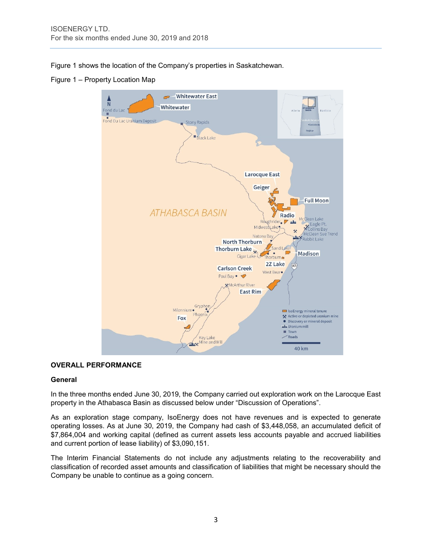Figure 1 shows the location of the Company's properties in Saskatchewan.

Figure 1 – Property Location Map



# **OVERALL PERFORMANCE**

#### **General**

In the three months ended June 30, 2019, the Company carried out exploration work on the Larocque East property in the Athabasca Basin as discussed below under "Discussion of Operations".

As an exploration stage company, IsoEnergy does not have revenues and is expected to generate operating losses. As at June 30, 2019, the Company had cash of \$3,448,058, an accumulated deficit of \$7,864,004 and working capital (defined as current assets less accounts payable and accrued liabilities and current portion of lease liability) of \$3,090,151.

The Interim Financial Statements do not include any adjustments relating to the recoverability and classification of recorded asset amounts and classification of liabilities that might be necessary should the Company be unable to continue as a going concern.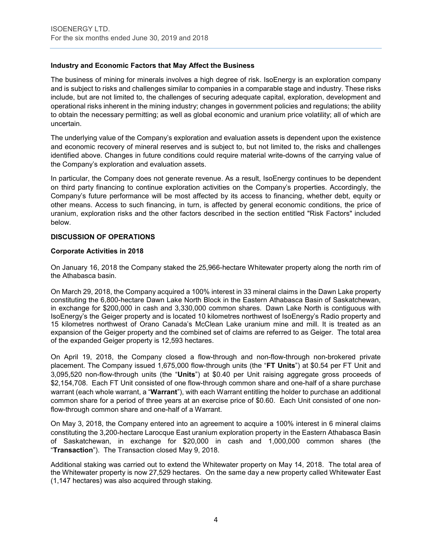# **Industry and Economic Factors that May Affect the Business**

The business of mining for minerals involves a high degree of risk. IsoEnergy is an exploration company and is subject to risks and challenges similar to companies in a comparable stage and industry. These risks include, but are not limited to, the challenges of securing adequate capital, exploration, development and operational risks inherent in the mining industry; changes in government policies and regulations; the ability to obtain the necessary permitting; as well as global economic and uranium price volatility; all of which are uncertain.

The underlying value of the Company's exploration and evaluation assets is dependent upon the existence and economic recovery of mineral reserves and is subject to, but not limited to, the risks and challenges identified above. Changes in future conditions could require material write-downs of the carrying value of the Company's exploration and evaluation assets.

In particular, the Company does not generate revenue. As a result, IsoEnergy continues to be dependent on third party financing to continue exploration activities on the Company's properties. Accordingly, the Company's future performance will be most affected by its access to financing, whether debt, equity or other means. Access to such financing, in turn, is affected by general economic conditions, the price of uranium, exploration risks and the other factors described in the section entitled "Risk Factors" included below.

# **DISCUSSION OF OPERATIONS**

#### **Corporate Activities in 2018**

On January 16, 2018 the Company staked the 25,966-hectare Whitewater property along the north rim of the Athabasca basin.

On March 29, 2018, the Company acquired a 100% interest in 33 mineral claims in the Dawn Lake property constituting the 6,800-hectare Dawn Lake North Block in the Eastern Athabasca Basin of Saskatchewan, in exchange for \$200,000 in cash and 3,330,000 common shares. Dawn Lake North is contiguous with IsoEnergy's the Geiger property and is located 10 kilometres northwest of IsoEnergy's Radio property and 15 kilometres northwest of Orano Canada's McClean Lake uranium mine and mill. It is treated as an expansion of the Geiger property and the combined set of claims are referred to as Geiger. The total area of the expanded Geiger property is 12,593 hectares.

On April 19, 2018, the Company closed a flow-through and non-flow-through non-brokered private placement. The Company issued 1,675,000 flow-through units (the "**FT Units**") at \$0.54 per FT Unit and 3,095,520 non-flow-through units (the "**Units**") at \$0.40 per Unit raising aggregate gross proceeds of \$2,154,708. Each FT Unit consisted of one flow-through common share and one-half of a share purchase warrant (each whole warrant, a "**Warrant**"), with each Warrant entitling the holder to purchase an additional common share for a period of three years at an exercise price of \$0.60. Each Unit consisted of one nonflow-through common share and one-half of a Warrant.

On May 3, 2018, the Company entered into an agreement to acquire a 100% interest in 6 mineral claims constituting the 3,200-hectare Larocque East uranium exploration property in the Eastern Athabasca Basin of Saskatchewan, in exchange for \$20,000 in cash and 1,000,000 common shares (the "**Transaction**"). The Transaction closed May 9, 2018.

Additional staking was carried out to extend the Whitewater property on May 14, 2018. The total area of the Whitewater property is now 27,529 hectares. On the same day a new property called Whitewater East (1,147 hectares) was also acquired through staking.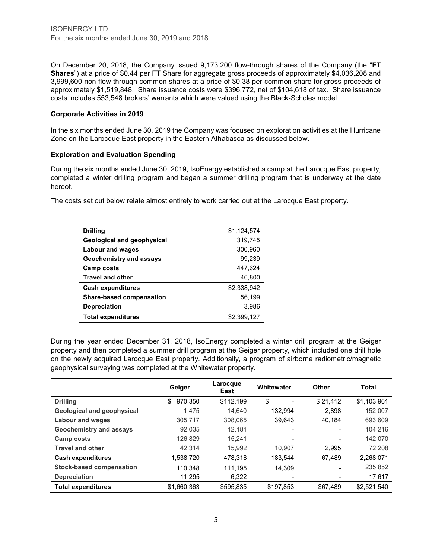On December 20, 2018, the Company issued 9,173,200 flow-through shares of the Company (the "**FT Shares**") at a price of \$0.44 per FT Share for aggregate gross proceeds of approximately \$4,036,208 and 3,999,600 non flow-through common shares at a price of \$0.38 per common share for gross proceeds of approximately \$1,519,848. Share issuance costs were \$396,772, net of \$104,618 of tax. Share issuance costs includes 553,548 brokers' warrants which were valued using the Black-Scholes model.

# **Corporate Activities in 2019**

In the six months ended June 30, 2019 the Company was focused on exploration activities at the Hurricane Zone on the Larocque East property in the Eastern Athabasca as discussed below.

# **Exploration and Evaluation Spending**

During the six months ended June 30, 2019, IsoEnergy established a camp at the Larocque East property, completed a winter drilling program and began a summer drilling program that is underway at the date hereof.

The costs set out below relate almost entirely to work carried out at the Larocque East property.

| <b>Drilling</b>                 | \$1,124,574 |
|---------------------------------|-------------|
| Geological and geophysical      | 319,745     |
| Labour and wages                | 300,960     |
| <b>Geochemistry and assays</b>  | 99,239      |
| <b>Camp costs</b>               | 447,624     |
| <b>Travel and other</b>         | 46,800      |
| <b>Cash expenditures</b>        | \$2,338,942 |
| <b>Share-based compensation</b> | 56,199      |
| <b>Depreciation</b>             | 3,986       |
| <b>Total expenditures</b>       | \$2,399,127 |

During the year ended December 31, 2018, IsoEnergy completed a winter drill program at the Geiger property and then completed a summer drill program at the Geiger property, which included one drill hole on the newly acquired Larocque East property. Additionally, a program of airborne radiometric/magnetic geophysical surveying was completed at the Whitewater property.

|                                   | Geiger        | Larocque<br>East | Whitewater | <b>Other</b> | Total       |
|-----------------------------------|---------------|------------------|------------|--------------|-------------|
| <b>Drilling</b>                   | \$<br>970.350 | \$112,199        | \$         | \$21,412     | \$1,103,961 |
| <b>Geological and geophysical</b> | 1.475         | 14.640           | 132.994    | 2.898        | 152,007     |
| <b>Labour and wages</b>           | 305,717       | 308.065          | 39.643     | 40.184       | 693,609     |
| <b>Geochemistry and assays</b>    | 92,035        | 12.181           |            |              | 104,216     |
| <b>Camp costs</b>                 | 126,829       | 15.241           |            |              | 142,070     |
| <b>Travel and other</b>           | 42,314        | 15,992           | 10.907     | 2,995        | 72,208      |
| <b>Cash expenditures</b>          | 1,538,720     | 478,318          | 183.544    | 67.489       | 2,268,071   |
| <b>Stock-based compensation</b>   | 110.348       | 111.195          | 14.309     |              | 235,852     |
| <b>Depreciation</b>               | 11.295        | 6.322            |            |              | 17,617      |
| <b>Total expenditures</b>         | \$1.660.363   | \$595.835        | \$197.853  | \$67.489     | \$2.521.540 |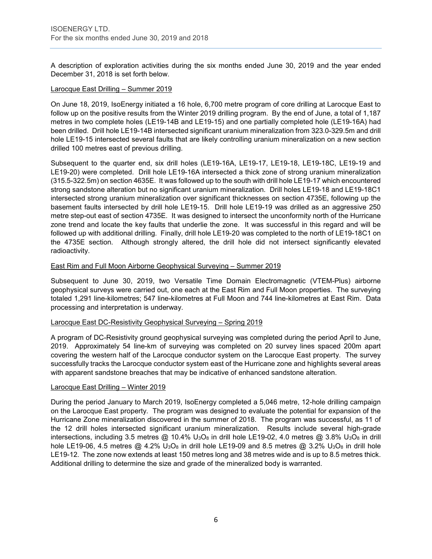A description of exploration activities during the six months ended June 30, 2019 and the year ended December 31, 2018 is set forth below.

#### Larocque East Drilling – Summer 2019

On June 18, 2019, IsoEnergy initiated a 16 hole, 6,700 metre program of core drilling at Larocque East to follow up on the positive results from the Winter 2019 drilling program. By the end of June, a total of 1,187 metres in two complete holes (LE19-14B and LE19-15) and one partially completed hole (LE19-16A) had been drilled. Drill hole LE19-14B intersected significant uranium mineralization from 323.0-329.5m and drill hole LE19-15 intersected several faults that are likely controlling uranium mineralization on a new section drilled 100 metres east of previous drilling.

Subsequent to the quarter end, six drill holes (LE19-16A, LE19-17, LE19-18, LE19-18C, LE19-19 and LE19-20) were completed. Drill hole LE19-16A intersected a thick zone of strong uranium mineralization (315.5-322.5m) on section 4635E. It was followed up to the south with drill hole LE19-17 which encountered strong sandstone alteration but no significant uranium mineralization. Drill holes LE19-18 and LE19-18C1 intersected strong uranium mineralization over significant thicknesses on section 4735E, following up the basement faults intersected by drill hole LE19-15. Drill hole LE19-19 was drilled as an aggressive 250 metre step-out east of section 4735E. It was designed to intersect the unconformity north of the Hurricane zone trend and locate the key faults that underlie the zone. It was successful in this regard and will be followed up with additional drilling. Finally, drill hole LE19-20 was completed to the north of LE19-18C1 on the 4735E section. Although strongly altered, the drill hole did not intersect significantly elevated radioactivity.

#### East Rim and Full Moon Airborne Geophysical Surveying – Summer 2019

Subsequent to June 30, 2019, two Versatile Time Domain Electromagnetic (VTEM-Plus) airborne geophysical surveys were carried out, one each at the East Rim and Full Moon properties. The surveying totaled 1,291 line-kilometres; 547 line-kilometres at Full Moon and 744 line-kilometres at East Rim. Data processing and interpretation is underway.

#### Larocque East DC-Resistivity Geophysical Surveying - Spring 2019

A program of DC-Resistivity ground geophysical surveying was completed during the period April to June, 2019. Approximately 54 line-km of surveying was completed on 20 survey lines spaced 200m apart covering the western half of the Larocque conductor system on the Larocque East property. The survey successfully tracks the Larocque conductor system east of the Hurricane zone and highlights several areas with apparent sandstone breaches that may be indicative of enhanced sandstone alteration.

#### Larocque East Drilling – Winter 2019

During the period January to March 2019, IsoEnergy completed a 5,046 metre, 12-hole drilling campaign on the Larocque East property. The program was designed to evaluate the potential for expansion of the Hurricane Zone mineralization discovered in the summer of 2018. The program was successful, as 11 of the 12 drill holes intersected significant uranium mineralization. Results include several high-grade intersections, including 3.5 metres  $@$  10.4% U<sub>3</sub>O<sub>8</sub> in drill hole LE19-02, 4.0 metres  $@$  3.8% U<sub>3</sub>O<sub>8</sub> in drill hole LE19-06, 4.5 metres  $@$  4.2% U<sub>3</sub>O<sub>8</sub> in drill hole LE19-09 and 8.5 metres  $@$  3.2% U<sub>3</sub>O<sub>8</sub> in drill hole LE19-12. The zone now extends at least 150 metres long and 38 metres wide and is up to 8.5 metres thick. Additional drilling to determine the size and grade of the mineralized body is warranted.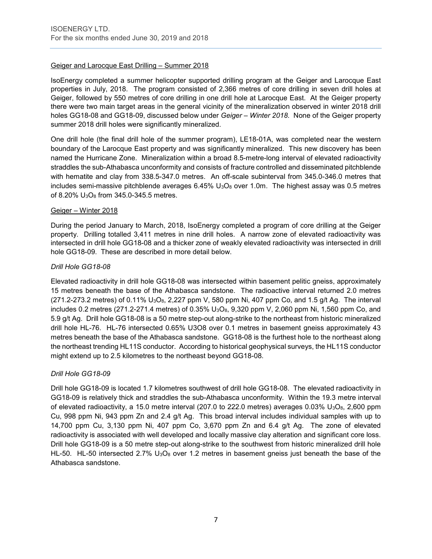# Geiger and Larocque East Drilling – Summer 2018

IsoEnergy completed a summer helicopter supported drilling program at the Geiger and Larocque East properties in July, 2018. The program consisted of 2,366 metres of core drilling in seven drill holes at Geiger, followed by 550 metres of core drilling in one drill hole at Larocque East. At the Geiger property there were two main target areas in the general vicinity of the mineralization observed in winter 2018 drill holes GG18-08 and GG18-09, discussed below under *Geiger – Winter 2018*. None of the Geiger property summer 2018 drill holes were significantly mineralized.

One drill hole (the final drill hole of the summer program), LE18-01A, was completed near the western boundary of the Larocque East property and was significantly mineralized. This new discovery has been named the Hurricane Zone. Mineralization within a broad 8.5-metre-long interval of elevated radioactivity straddles the sub-Athabasca unconformity and consists of fracture controlled and disseminated pitchblende with hematite and clay from 338.5-347.0 metres. An off-scale subinterval from 345.0-346.0 metres that includes semi-massive pitchblende averages  $6.45\%$  U<sub>3</sub>O<sub>8</sub> over 1.0m. The highest assay was 0.5 metres of 8.20% U3O8 from 345.0-345.5 metres.

# Geiger – Winter 2018

During the period January to March, 2018, IsoEnergy completed a program of core drilling at the Geiger property. Drilling totalled 3,411 metres in nine drill holes. A narrow zone of elevated radioactivity was intersected in drill hole GG18-08 and a thicker zone of weakly elevated radioactivity was intersected in drill hole GG18-09. These are described in more detail below.

# *Drill Hole GG18-08*

Elevated radioactivity in drill hole GG18-08 was intersected within basement pelitic gneiss, approximately 15 metres beneath the base of the Athabasca sandstone. The radioactive interval returned 2.0 metres  $(271.2-273.2 \text{ metres})$  of  $0.11\%$  U<sub>3</sub>O<sub>8</sub>, 2,227 ppm V, 580 ppm Ni, 407 ppm Co, and 1.5 g/t Ag. The interval includes 0.2 metres (271.2-271.4 metres) of 0.35% U<sub>3</sub>O<sub>8</sub>, 9,320 ppm V, 2,060 ppm Ni, 1,560 ppm Co, and 5.9 g/t Ag. Drill hole GG18-08 is a 50 metre step-out along-strike to the northeast from historic mineralized drill hole HL-76. HL-76 intersected 0.65% U3O8 over 0.1 metres in basement gneiss approximately 43 metres beneath the base of the Athabasca sandstone. GG18-08 is the furthest hole to the northeast along the northeast trending HL11S conductor. According to historical geophysical surveys, the HL11S conductor might extend up to 2.5 kilometres to the northeast beyond GG18-08.

# *Drill Hole GG18-09*

Drill hole GG18-09 is located 1.7 kilometres southwest of drill hole GG18-08. The elevated radioactivity in GG18-09 is relatively thick and straddles the sub-Athabasca unconformity. Within the 19.3 metre interval of elevated radioactivity, a 15.0 metre interval (207.0 to 222.0 metres) averages 0.03%  $U_3O_8$ , 2,600 ppm Cu, 998 ppm Ni, 943 ppm Zn and 2.4 g/t Ag. This broad interval includes individual samples with up to 14,700 ppm Cu, 3,130 ppm Ni, 407 ppm Co, 3,670 ppm Zn and 6.4 g/t Ag. The zone of elevated radioactivity is associated with well developed and locally massive clay alteration and significant core loss. Drill hole GG18-09 is a 50 metre step-out along-strike to the southwest from historic mineralized drill hole HL-50. HL-50 intersected 2.7%  $U_3O_8$  over 1.2 metres in basement gneiss just beneath the base of the Athabasca sandstone.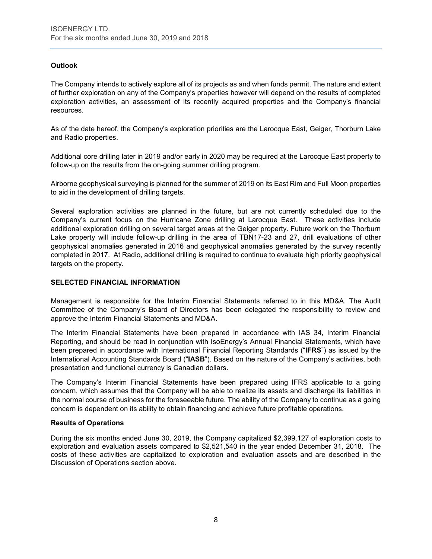# **Outlook**

The Company intends to actively explore all of its projects as and when funds permit. The nature and extent of further exploration on any of the Company's properties however will depend on the results of completed exploration activities, an assessment of its recently acquired properties and the Company's financial resources.

As of the date hereof, the Company's exploration priorities are the Larocque East, Geiger, Thorburn Lake and Radio properties.

Additional core drilling later in 2019 and/or early in 2020 may be required at the Larocque East property to follow-up on the results from the on-going summer drilling program.

Airborne geophysical surveying is planned for the summer of 2019 on its East Rim and Full Moon properties to aid in the development of drilling targets.

Several exploration activities are planned in the future, but are not currently scheduled due to the Company's current focus on the Hurricane Zone drilling at Larocque East. These activities include additional exploration drilling on several target areas at the Geiger property. Future work on the Thorburn Lake property will include follow-up drilling in the area of TBN17-23 and 27, drill evaluations of other geophysical anomalies generated in 2016 and geophysical anomalies generated by the survey recently completed in 2017. At Radio, additional drilling is required to continue to evaluate high priority geophysical targets on the property.

#### **SELECTED FINANCIAL INFORMATION**

Management is responsible for the Interim Financial Statements referred to in this MD&A. The Audit Committee of the Company's Board of Directors has been delegated the responsibility to review and approve the Interim Financial Statements and MD&A.

The Interim Financial Statements have been prepared in accordance with IAS 34, Interim Financial Reporting, and should be read in conjunction with IsoEnergy's Annual Financial Statements, which have been prepared in accordance with International Financial Reporting Standards ("**IFRS**") as issued by the International Accounting Standards Board ("**IASB**"). Based on the nature of the Company's activities, both presentation and functional currency is Canadian dollars.

The Company's Interim Financial Statements have been prepared using IFRS applicable to a going concern, which assumes that the Company will be able to realize its assets and discharge its liabilities in the normal course of business for the foreseeable future. The ability of the Company to continue as a going concern is dependent on its ability to obtain financing and achieve future profitable operations.

#### **Results of Operations**

During the six months ended June 30, 2019, the Company capitalized \$2,399,127 of exploration costs to exploration and evaluation assets compared to \$2,521,540 in the year ended December 31, 2018. The costs of these activities are capitalized to exploration and evaluation assets and are described in the Discussion of Operations section above.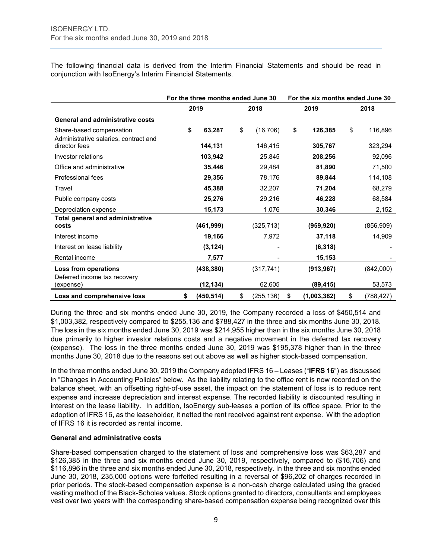The following financial data is derived from the Interim Financial Statements and should be read in conjunction with IsoEnergy's Interim Financial Statements.

|                                                                   | For the three months ended June 30 |                  | For the six months ended June 30 |                  |  |
|-------------------------------------------------------------------|------------------------------------|------------------|----------------------------------|------------------|--|
|                                                                   | 2019                               | 2018             | 2019                             | 2018             |  |
| <b>General and administrative costs</b>                           |                                    |                  |                                  |                  |  |
| Share-based compensation<br>Administrative salaries, contract and | \$<br>63,287                       | \$<br>(16, 706)  | \$<br>126,385                    | \$<br>116,896    |  |
| director fees                                                     | 144,131                            | 146,415          | 305,767                          | 323,294          |  |
| Investor relations                                                | 103,942                            | 25,845           | 208,256                          | 92,096           |  |
| Office and administrative                                         | 35,446                             | 29,484           | 81,890                           | 71,500           |  |
| Professional fees                                                 | 29,356                             | 78,176           | 89,844                           | 114,108          |  |
| Travel                                                            | 45,388                             | 32,207           | 71,204                           | 68,279           |  |
| Public company costs                                              | 25,276                             | 29,216           | 46,228                           | 68,584           |  |
| Depreciation expense                                              | 15,173                             | 1,076            | 30,346                           | 2,152            |  |
| <b>Total general and administrative</b><br>costs                  | (461, 999)                         | (325, 713)       | (959, 920)                       | (856, 909)       |  |
| Interest income                                                   | 19,166                             | 7,972            | 37,118                           | 14,909           |  |
| Interest on lease liability                                       | (3, 124)                           |                  | (6, 318)                         |                  |  |
| Rental income                                                     | 7,577                              |                  | 15,153                           |                  |  |
| Loss from operations<br>Deferred income tax recovery              | (438, 380)                         | (317, 741)       | (913, 967)                       | (842,000)        |  |
| (expense)                                                         | (12, 134)                          | 62,605           | (89, 415)                        | 53,573           |  |
| Loss and comprehensive loss                                       | \$<br>(450, 514)                   | \$<br>(255, 136) | \$<br>(1,003,382)                | \$<br>(788, 427) |  |

During the three and six months ended June 30, 2019, the Company recorded a loss of \$450,514 and \$1,003,382, respectively compared to \$255,136 and \$788,427 in the three and six months June 30, 2018. The loss in the six months ended June 30, 2019 was \$214,955 higher than in the six months June 30, 2018 due primarily to higher investor relations costs and a negative movement in the deferred tax recovery (expense). The loss in the three months ended June 30, 2019 was \$195,378 higher than in the three months June 30, 2018 due to the reasons set out above as well as higher stock-based compensation.

In the three months ended June 30, 2019 the Company adopted IFRS 16 – Leases ("**IFRS 16**") as discussed in "Changes in Accounting Policies" below. As the liability relating to the office rent is now recorded on the balance sheet, with an offsetting right-of-use asset, the impact on the statement of loss is to reduce rent expense and increase depreciation and interest expense. The recorded liability is discounted resulting in interest on the lease liability. In addition, IsoEnergy sub-leases a portion of its office space. Prior to the adoption of IFRS 16, as the leaseholder, it netted the rent received against rent expense. With the adoption of IFRS 16 it is recorded as rental income.

#### **General and administrative costs**

Share-based compensation charged to the statement of loss and comprehensive loss was \$63,287 and \$126,385 in the three and six months ended June 30, 2019, respectively, compared to (\$16,706) and \$116,896 in the three and six months ended June 30, 2018, respectively. In the three and six months ended June 30, 2018, 235,000 options were forfeited resulting in a reversal of \$96,202 of charges recorded in prior periods. The stock-based compensation expense is a non-cash charge calculated using the graded vesting method of the Black-Scholes values. Stock options granted to directors, consultants and employees vest over two years with the corresponding share-based compensation expense being recognized over this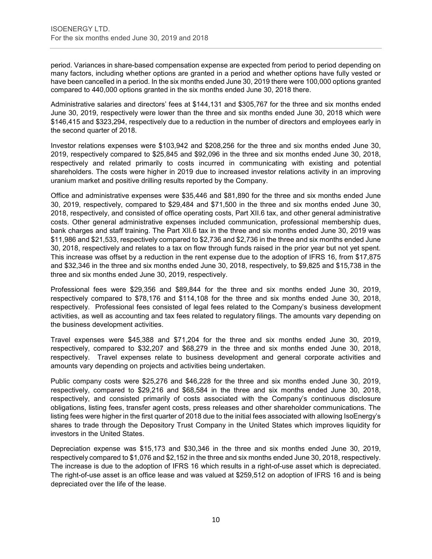period. Variances in share-based compensation expense are expected from period to period depending on many factors, including whether options are granted in a period and whether options have fully vested or have been cancelled in a period. In the six months ended June 30, 2019 there were 100,000 options granted compared to 440,000 options granted in the six months ended June 30, 2018 there.

Administrative salaries and directors' fees at \$144,131 and \$305,767 for the three and six months ended June 30, 2019, respectively were lower than the three and six months ended June 30, 2018 which were \$146,415 and \$323,294, respectively due to a reduction in the number of directors and employees early in the second quarter of 2018.

Investor relations expenses were \$103,942 and \$208,256 for the three and six months ended June 30, 2019, respectively compared to \$25,845 and \$92,096 in the three and six months ended June 30, 2018, respectively and related primarily to costs incurred in communicating with existing and potential shareholders. The costs were higher in 2019 due to increased investor relations activity in an improving uranium market and positive drilling results reported by the Company.

Office and administrative expenses were \$35,446 and \$81,890 for the three and six months ended June 30, 2019, respectively, compared to \$29,484 and \$71,500 in the three and six months ended June 30, 2018, respectively, and consisted of office operating costs, Part XII.6 tax, and other general administrative costs. Other general administrative expenses included communication, professional membership dues, bank charges and staff training. The Part XII.6 tax in the three and six months ended June 30, 2019 was \$11,986 and \$21,533, respectively compared to \$2,736 and \$2,736 in the three and six months ended June 30, 2018, respectively and relates to a tax on flow through funds raised in the prior year but not yet spent. This increase was offset by a reduction in the rent expense due to the adoption of IFRS 16, from \$17,875 and \$32,346 in the three and six months ended June 30, 2018, respectively, to \$9,825 and \$15,738 in the three and six months ended June 30, 2019, respectively.

Professional fees were \$29,356 and \$89,844 for the three and six months ended June 30, 2019, respectively compared to \$78,176 and \$114,108 for the three and six months ended June 30, 2018, respectively. Professional fees consisted of legal fees related to the Company's business development activities, as well as accounting and tax fees related to regulatory filings. The amounts vary depending on the business development activities.

Travel expenses were \$45,388 and \$71,204 for the three and six months ended June 30, 2019, respectively, compared to \$32,207 and \$68,279 in the three and six months ended June 30, 2018, respectively. Travel expenses relate to business development and general corporate activities and amounts vary depending on projects and activities being undertaken.

Public company costs were \$25,276 and \$46,228 for the three and six months ended June 30, 2019, respectively, compared to \$29,216 and \$68,584 in the three and six months ended June 30, 2018, respectively, and consisted primarily of costs associated with the Company's continuous disclosure obligations, listing fees, transfer agent costs, press releases and other shareholder communications. The listing fees were higher in the first quarter of 2018 due to the initial fees associated with allowing IsoEnergy's shares to trade through the Depository Trust Company in the United States which improves liquidity for investors in the United States.

Depreciation expense was \$15,173 and \$30,346 in the three and six months ended June 30, 2019, respectively compared to \$1,076 and \$2,152 in the three and six months ended June 30, 2018, respectively. The increase is due to the adoption of IFRS 16 which results in a right-of-use asset which is depreciated. The right-of-use asset is an office lease and was valued at \$259,512 on adoption of IFRS 16 and is being depreciated over the life of the lease.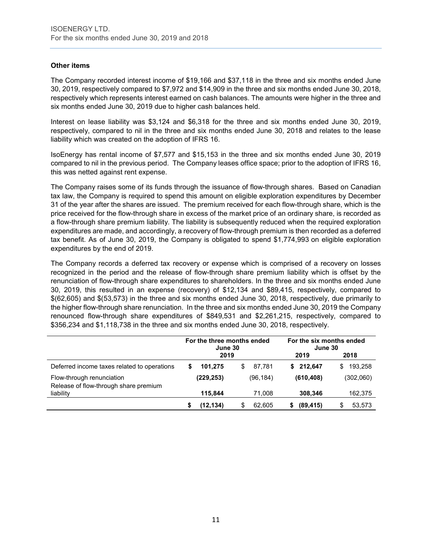# **Other items**

The Company recorded interest income of \$19,166 and \$37,118 in the three and six months ended June 30, 2019, respectively compared to \$7,972 and \$14,909 in the three and six months ended June 30, 2018, respectively which represents interest earned on cash balances. The amounts were higher in the three and six months ended June 30, 2019 due to higher cash balances held.

Interest on lease liability was \$3,124 and \$6,318 for the three and six months ended June 30, 2019, respectively, compared to nil in the three and six months ended June 30, 2018 and relates to the lease liability which was created on the adoption of IFRS 16.

IsoEnergy has rental income of \$7,577 and \$15,153 in the three and six months ended June 30, 2019 compared to nil in the previous period. The Company leases office space; prior to the adoption of IFRS 16, this was netted against rent expense.

The Company raises some of its funds through the issuance of flow-through shares. Based on Canadian tax law, the Company is required to spend this amount on eligible exploration expenditures by December 31 of the year after the shares are issued. The premium received for each flow-through share, which is the price received for the flow-through share in excess of the market price of an ordinary share, is recorded as a flow-through share premium liability. The liability is subsequently reduced when the required exploration expenditures are made, and accordingly, a recovery of flow-through premium is then recorded as a deferred tax benefit. As of June 30, 2019, the Company is obligated to spend \$1,774,993 on eligible exploration expenditures by the end of 2019.

The Company records a deferred tax recovery or expense which is comprised of a recovery on losses recognized in the period and the release of flow-through share premium liability which is offset by the renunciation of flow-through share expenditures to shareholders. In the three and six months ended June 30, 2019, this resulted in an expense (recovery) of \$12,134 and \$89,415, respectively, compared to \$(62,605) and \$(53,573) in the three and six months ended June 30, 2018, respectively, due primarily to the higher flow-through share renunciation. In the three and six months ended June 30, 2019 the Company renounced flow-through share expenditures of \$849,531 and \$2,261,215, respectively, compared to \$356,234 and \$1,118,738 in the three and six months ended June 30, 2018, respectively.

|                                                                    | For the three months ended<br>June 30 |            |    | For the six months ended<br>June 30 |   |            |   |           |
|--------------------------------------------------------------------|---------------------------------------|------------|----|-------------------------------------|---|------------|---|-----------|
|                                                                    |                                       | 2019       |    |                                     |   | 2019       |   | 2018      |
| Deferred income taxes related to operations                        | \$                                    | 101.275    | \$ | 87.781                              | S | 212.647    | S | 193,258   |
| Flow-through renunciation<br>Release of flow-through share premium |                                       | (229, 253) |    | (96, 184)                           |   | (610, 408) |   | (302,060) |
| liability                                                          |                                       | 115.844    |    | 71.008                              |   | 308,346    |   | 162,375   |
|                                                                    |                                       | (12, 134)  | S  | 62.605                              |   | (89, 415)  |   | 53,573    |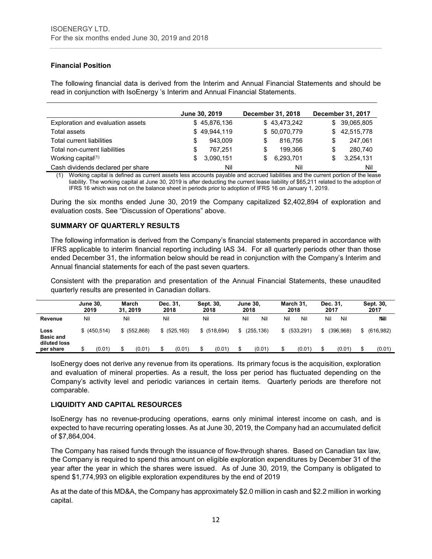# **Financial Position**

The following financial data is derived from the Interim and Annual Financial Statements and should be read in conjunction with IsoEnergy 's Interim and Annual Financial Statements.

|                                   | June 30, 2019 |   | December 31, 2018 |   | December 31, 2017 |
|-----------------------------------|---------------|---|-------------------|---|-------------------|
| Exploration and evaluation assets | \$45,876,136  |   | \$43,473,242      |   | \$ 39,065,805     |
| Total assets                      | \$49,944,119  |   | \$50,070,779      |   | \$42,515,778      |
| Total current liabilities         | 943.009       | S | 816.756           | S | 247.061           |
| Total non-current liabilities     | 767.251       | S | 199.366           | S | 280,740           |
| Working capital $(1)$             | 3,090,151     |   | 6,293,701         |   | 3,254,131         |
| Cash dividends declared per share | Nil           |   | Nil               |   | Nil               |

Working capital is defined as current assets less accounts payable and accrued liabilities and the current portion of the lease liability. The working capital at June 30, 2019 is after deducting the current lease liability of \$65,211 related to the adoption of IFRS 16 which was not on the balance sheet in periods prior to adoption of IFRS 16 on January 1, 2019.

During the six months ended June 30, 2019 the Company capitalized \$2,402,894 of exploration and evaluation costs. See "Discussion of Operations" above.

# **SUMMARY OF QUARTERLY RESULTS**

The following information is derived from the Company's financial statements prepared in accordance with IFRS applicable to interim financial reporting including IAS 34. For all quarterly periods other than those ended December 31, the information below should be read in conjunction with the Company's Interim and Annual financial statements for each of the past seven quarters.

Consistent with the preparation and presentation of the Annual Financial Statements, these unaudited quarterly results are presented in Canadian dollars.

|                                                       | <b>June 30.</b><br>2019 | <b>March</b><br>31.2019 | Dec. 31.<br>2018        | Sept. 30,<br>2018       | June 30,<br>2018                 | March 31.<br>2018   | Dec. 31,<br>2017         | Sept. 30,<br>2017         |
|-------------------------------------------------------|-------------------------|-------------------------|-------------------------|-------------------------|----------------------------------|---------------------|--------------------------|---------------------------|
| Revenue                                               | Nil                     | Nil                     | Nil                     | Nil                     | Nil<br>Nil                       | Nil<br>Nil          | Nil<br>Nil               | <b>NNII</b>               |
| Loss<br><b>Basic and</b><br>diluted loss<br>per share | \$ (450.514)<br>(0.01)  | \$ (552,868)<br>(0.01)  | \$ (525, 160)<br>(0.01) | \$ (518, 694)<br>(0.01) | (255, 136)<br>\$<br>(0.01)<br>\$ | (533.291)<br>(0.01) | (396.968)<br>S<br>(0.01) | (616.982)<br>\$<br>(0.01) |

IsoEnergy does not derive any revenue from its operations. Its primary focus is the acquisition, exploration and evaluation of mineral properties. As a result, the loss per period has fluctuated depending on the Company's activity level and periodic variances in certain items. Quarterly periods are therefore not comparable.

#### **LIQUIDITY AND CAPITAL RESOURCES**

IsoEnergy has no revenue-producing operations, earns only minimal interest income on cash, and is expected to have recurring operating losses. As at June 30, 2019, the Company had an accumulated deficit of \$7,864,004.

The Company has raised funds through the issuance of flow-through shares. Based on Canadian tax law, the Company is required to spend this amount on eligible exploration expenditures by December 31 of the year after the year in which the shares were issued. As of June 30, 2019, the Company is obligated to spend \$1,774,993 on eligible exploration expenditures by the end of 2019

As at the date of this MD&A, the Company has approximately \$2.0 million in cash and \$2.2 million in working capital.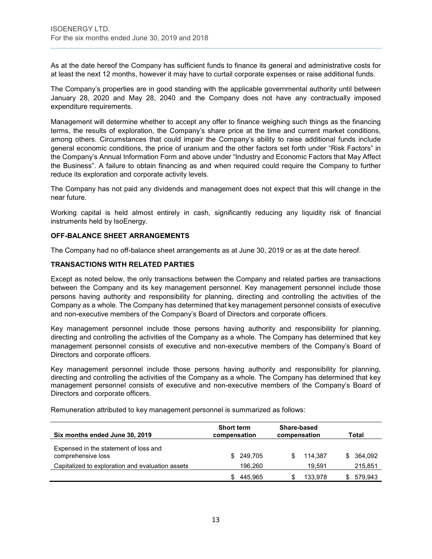As at the date hereof the Company has sufficient funds to finance its general and administrative costs for at least the next 12 months, however it may have to curtail corporate expenses or raise additional funds.

The Company's properties are in good standing with the applicable governmental authority until between January 28, 2020 and May 28, 2040 and the Company does not have any contractually imposed expenditure requirements.

Management will determine whether to accept any offer to finance weighing such things as the financing terms, the results of exploration, the Company's share price at the time and current market conditions, among others. Circumstances that could impair the Company's ability to raise additional funds include general economic conditions, the price of uranium and the other factors set forth under "Risk Factors" in the Company's Annual Information Form and above under "Industry and Economic Factors that May Affect the Business". A failure to obtain financing as and when required could require the Company to further reduce its exploration and corporate activity levels.

The Company has not paid any dividends and management does not expect that this will change in the near future.

Working capital is held almost entirely in cash, significantly reducing any liquidity risk of financial instruments held by IsoEnergy.

# **OFF-BALANCE SHEET ARRANGEMENTS**

The Company had no off-balance sheet arrangements as at June 30, 2019 or as at the date hereof.

#### **TRANSACTIONS WITH RELATED PARTIES**

Except as noted below, the only transactions between the Company and related parties are transactions between the Company and its key management personnel. Key management personnel include those persons having authority and responsibility for planning, directing and controlling the activities of the Company as a whole. The Company has determined that key management personnel consists of executive and non-executive members of the Company's Board of Directors and corporate officers.

Key management personnel include those persons having authority and responsibility for planning, directing and controlling the activities of the Company as a whole. The Company has determined that key management personnel consists of executive and non-executive members of the Company's Board of Directors and corporate officers.

Key management personnel include those persons having authority and responsibility for planning, directing and controlling the activities of the Company as a whole. The Company has determined that key management personnel consists of executive and non-executive members of the Company's Board of Directors and corporate officers.

| Six months ended June 30, 2019                              | <b>Short term</b><br>compensation | Share-based<br>compensation | Total         |
|-------------------------------------------------------------|-----------------------------------|-----------------------------|---------------|
| Expensed in the statement of loss and<br>comprehensive loss | 249,705<br>\$                     | 114.387                     | 364.092<br>S. |
| Capitalized to exploration and evaluation assets            | 196.260                           | 19.591                      | 215,851       |
|                                                             | 445.965                           | 133.978                     | 579,943       |

Remuneration attributed to key management personnel is summarized as follows: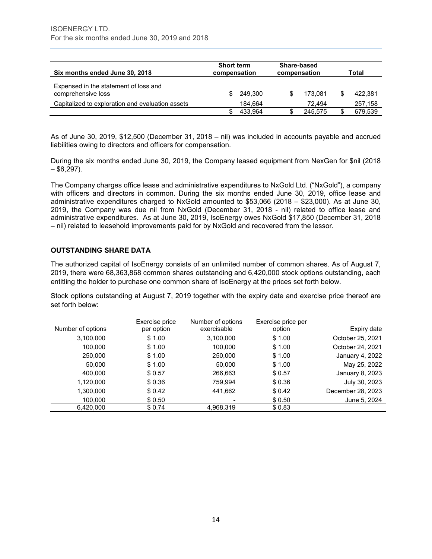| Six months ended June 30, 2018                              | <b>Short term</b><br>compensation |         | Share-based<br>compensation |   | Total   |
|-------------------------------------------------------------|-----------------------------------|---------|-----------------------------|---|---------|
| Expensed in the statement of loss and<br>comprehensive loss | SS.                               | 249.300 | \$<br>173.081               |   | 422.381 |
| Capitalized to exploration and evaluation assets            |                                   | 184.664 | 72.494                      |   | 257,158 |
|                                                             |                                   | 433.964 | 245.575                     | S | 679.539 |

As of June 30, 2019, \$12,500 (December 31, 2018 – nil) was included in accounts payable and accrued liabilities owing to directors and officers for compensation.

During the six months ended June 30, 2019, the Company leased equipment from NexGen for \$nil (2018  $-$  \$6,297).

The Company charges office lease and administrative expenditures to NxGold Ltd. ("NxGold"), a company with officers and directors in common. During the six months ended June 30, 2019, office lease and administrative expenditures charged to NxGold amounted to \$53,066 (2018 – \$23,000). As at June 30, 2019, the Company was due nil from NxGold (December 31, 2018 - nil) related to office lease and administrative expenditures. As at June 30, 2019, IsoEnergy owes NxGold \$17,850 (December 31, 2018 – nil) related to leasehold improvements paid for by NxGold and recovered from the lessor.

# **OUTSTANDING SHARE DATA**

The authorized capital of IsoEnergy consists of an unlimited number of common shares. As of August 7, 2019, there were 68,363,868 common shares outstanding and 6,420,000 stock options outstanding, each entitling the holder to purchase one common share of IsoEnergy at the prices set forth below.

Stock options outstanding at August 7, 2019 together with the expiry date and exercise price thereof are set forth below:

|                   | Exercise price | Number of options | Exercise price per |                   |
|-------------------|----------------|-------------------|--------------------|-------------------|
| Number of options | per option     | exercisable       | option             | Expiry date       |
| 3,100,000         | \$1.00         | 3,100,000         | \$1.00             | October 25, 2021  |
| 100,000           | \$1.00         | 100.000           | \$1.00             | October 24, 2021  |
| 250,000           | \$1.00         | 250,000           | \$1.00             | January 4, 2022   |
| 50,000            | \$1.00         | 50,000            | \$1.00             | May 25, 2022      |
| 400,000           | \$0.57         | 266,663           | \$0.57             | January 8, 2023   |
| 1,120,000         | \$0.36         | 759.994           | \$0.36             | July 30, 2023     |
| 1,300,000         | \$0.42         | 441,662           | \$0.42             | December 28, 2023 |
| 100,000           | \$0.50         |                   | \$0.50             | June 5, 2024      |
| 6,420,000         | \$0.74         | 4,968,319         | \$0.83             |                   |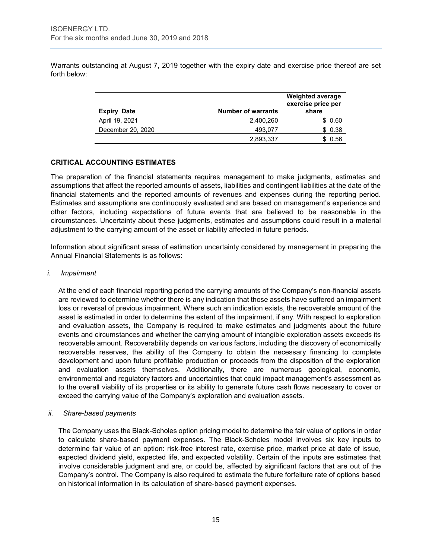Warrants outstanding at August 7, 2019 together with the expiry date and exercise price thereof are set forth below:

| <b>Expiry</b><br><b>Date</b> | <b>Number of warrants</b> | <b>Weighted average</b><br>exercise price per<br>share |
|------------------------------|---------------------------|--------------------------------------------------------|
| April 19, 2021               | 2,400,260                 | \$0.60                                                 |
| December 20, 2020            | 493.077                   | \$0.38                                                 |
|                              | 2,893,337                 | 0.56                                                   |

# **CRITICAL ACCOUNTING ESTIMATES**

The preparation of the financial statements requires management to make judgments, estimates and assumptions that affect the reported amounts of assets, liabilities and contingent liabilities at the date of the financial statements and the reported amounts of revenues and expenses during the reporting period. Estimates and assumptions are continuously evaluated and are based on management's experience and other factors, including expectations of future events that are believed to be reasonable in the circumstances. Uncertainty about these judgments, estimates and assumptions could result in a material adjustment to the carrying amount of the asset or liability affected in future periods.

Information about significant areas of estimation uncertainty considered by management in preparing the Annual Financial Statements is as follows:

#### *i. Impairment*

At the end of each financial reporting period the carrying amounts of the Company's non-financial assets are reviewed to determine whether there is any indication that those assets have suffered an impairment loss or reversal of previous impairment. Where such an indication exists, the recoverable amount of the asset is estimated in order to determine the extent of the impairment, if any. With respect to exploration and evaluation assets, the Company is required to make estimates and judgments about the future events and circumstances and whether the carrying amount of intangible exploration assets exceeds its recoverable amount. Recoverability depends on various factors, including the discovery of economically recoverable reserves, the ability of the Company to obtain the necessary financing to complete development and upon future profitable production or proceeds from the disposition of the exploration and evaluation assets themselves. Additionally, there are numerous geological, economic, environmental and regulatory factors and uncertainties that could impact management's assessment as to the overall viability of its properties or its ability to generate future cash flows necessary to cover or exceed the carrying value of the Company's exploration and evaluation assets.

#### *ii. Share-based payments*

The Company uses the Black-Scholes option pricing model to determine the fair value of options in order to calculate share-based payment expenses. The Black-Scholes model involves six key inputs to determine fair value of an option: risk-free interest rate, exercise price, market price at date of issue, expected dividend yield, expected life, and expected volatility. Certain of the inputs are estimates that involve considerable judgment and are, or could be, affected by significant factors that are out of the Company's control. The Company is also required to estimate the future forfeiture rate of options based on historical information in its calculation of share-based payment expenses.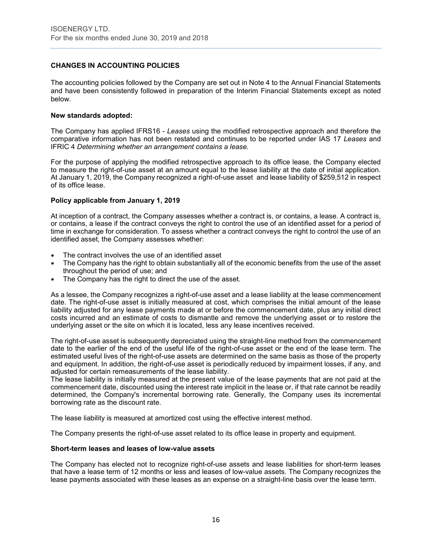# **CHANGES IN ACCOUNTING POLICIES**

The accounting policies followed by the Company are set out in Note 4 to the Annual Financial Statements and have been consistently followed in preparation of the Interim Financial Statements except as noted below.

#### **New standards adopted:**

The Company has applied IFRS16 - *Leases* using the modified retrospective approach and therefore the comparative information has not been restated and continues to be reported under IAS 17 *Leases* and IFRIC 4 *Determining whether an arrangement contains a lease.*

For the purpose of applying the modified retrospective approach to its office lease, the Company elected to measure the right-of-use asset at an amount equal to the lease liability at the date of initial application. At January 1, 2019, the Company recognized a right-of-use asset and lease liability of \$259,512 in respect of its office lease.

#### **Policy applicable from January 1, 2019**

At inception of a contract, the Company assesses whether a contract is, or contains, a lease. A contract is, or contains, a lease if the contract conveys the right to control the use of an identified asset for a period of time in exchange for consideration. To assess whether a contract conveys the right to control the use of an identified asset, the Company assesses whether:

- The contract involves the use of an identified asset
- The Company has the right to obtain substantially all of the economic benefits from the use of the asset throughout the period of use; and
- The Company has the right to direct the use of the asset.

As a lessee, the Company recognizes a right-of-use asset and a lease liability at the lease commencement date. The right-of-use asset is initially measured at cost, which comprises the initial amount of the lease liability adjusted for any lease payments made at or before the commencement date, plus any initial direct costs incurred and an estimate of costs to dismantle and remove the underlying asset or to restore the underlying asset or the site on which it is located, less any lease incentives received.

The right-of-use asset is subsequently depreciated using the straight-line method from the commencement date to the earlier of the end of the useful life of the right-of-use asset or the end of the lease term. The estimated useful lives of the right-of-use assets are determined on the same basis as those of the property and equipment. In addition, the right-of-use asset is periodically reduced by impairment losses, if any, and adjusted for certain remeasurements of the lease liability.

The lease liability is initially measured at the present value of the lease payments that are not paid at the commencement date, discounted using the interest rate implicit in the lease or, if that rate cannot be readily determined, the Company's incremental borrowing rate. Generally, the Company uses its incremental borrowing rate as the discount rate.

The lease liability is measured at amortized cost using the effective interest method.

The Company presents the right-of-use asset related to its office lease in property and equipment.

#### **Short-term leases and leases of low-value assets**

The Company has elected not to recognize right-of-use assets and lease liabilities for short-term leases that have a lease term of 12 months or less and leases of low-value assets. The Company recognizes the lease payments associated with these leases as an expense on a straight-line basis over the lease term.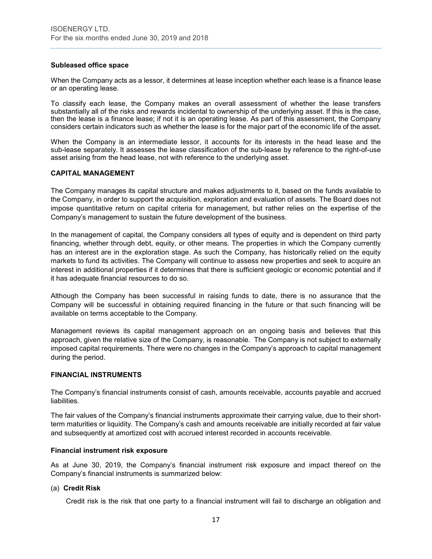#### **Subleased office space**

When the Company acts as a lessor, it determines at lease inception whether each lease is a finance lease or an operating lease.

To classify each lease, the Company makes an overall assessment of whether the lease transfers substantially all of the risks and rewards incidental to ownership of the underlying asset. If this is the case, then the lease is a finance lease; if not it is an operating lease. As part of this assessment, the Company considers certain indicators such as whether the lease is for the major part of the economic life of the asset.

When the Company is an intermediate lessor, it accounts for its interests in the head lease and the sub-lease separately. It assesses the lease classification of the sub-lease by reference to the right-of-use asset arising from the head lease, not with reference to the underlying asset.

# **CAPITAL MANAGEMENT**

The Company manages its capital structure and makes adjustments to it, based on the funds available to the Company, in order to support the acquisition, exploration and evaluation of assets. The Board does not impose quantitative return on capital criteria for management, but rather relies on the expertise of the Company's management to sustain the future development of the business.

In the management of capital, the Company considers all types of equity and is dependent on third party financing, whether through debt, equity, or other means. The properties in which the Company currently has an interest are in the exploration stage. As such the Company, has historically relied on the equity markets to fund its activities. The Company will continue to assess new properties and seek to acquire an interest in additional properties if it determines that there is sufficient geologic or economic potential and if it has adequate financial resources to do so.

Although the Company has been successful in raising funds to date, there is no assurance that the Company will be successful in obtaining required financing in the future or that such financing will be available on terms acceptable to the Company.

Management reviews its capital management approach on an ongoing basis and believes that this approach, given the relative size of the Company, is reasonable. The Company is not subject to externally imposed capital requirements. There were no changes in the Company's approach to capital management during the period.

#### **FINANCIAL INSTRUMENTS**

The Company's financial instruments consist of cash, amounts receivable, accounts payable and accrued liabilities.

The fair values of the Company's financial instruments approximate their carrying value, due to their shortterm maturities or liquidity. The Company's cash and amounts receivable are initially recorded at fair value and subsequently at amortized cost with accrued interest recorded in accounts receivable.

#### **Financial instrument risk exposure**

As at June 30, 2019, the Company's financial instrument risk exposure and impact thereof on the Company's financial instruments is summarized below:

#### (a) **Credit Risk**

Credit risk is the risk that one party to a financial instrument will fail to discharge an obligation and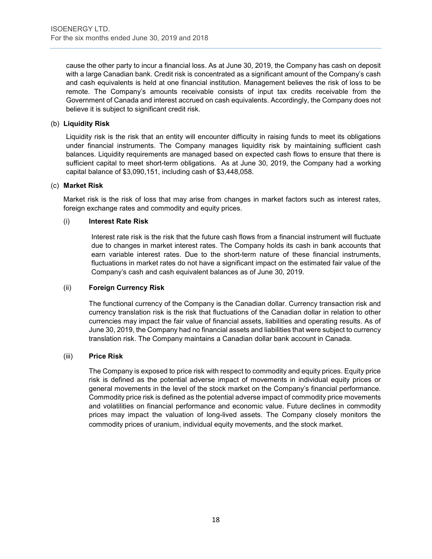cause the other party to incur a financial loss. As at June 30, 2019, the Company has cash on deposit with a large Canadian bank. Credit risk is concentrated as a significant amount of the Company's cash and cash equivalents is held at one financial institution. Management believes the risk of loss to be remote. The Company's amounts receivable consists of input tax credits receivable from the Government of Canada and interest accrued on cash equivalents. Accordingly, the Company does not believe it is subject to significant credit risk.

# (b) **Liquidity Risk**

Liquidity risk is the risk that an entity will encounter difficulty in raising funds to meet its obligations under financial instruments. The Company manages liquidity risk by maintaining sufficient cash balances. Liquidity requirements are managed based on expected cash flows to ensure that there is sufficient capital to meet short-term obligations. As at June 30, 2019, the Company had a working capital balance of \$3,090,151, including cash of \$3,448,058.

# (c) **Market Risk**

Market risk is the risk of loss that may arise from changes in market factors such as interest rates, foreign exchange rates and commodity and equity prices.

# (i) **Interest Rate Risk**

Interest rate risk is the risk that the future cash flows from a financial instrument will fluctuate due to changes in market interest rates. The Company holds its cash in bank accounts that earn variable interest rates. Due to the short-term nature of these financial instruments, fluctuations in market rates do not have a significant impact on the estimated fair value of the Company's cash and cash equivalent balances as of June 30, 2019.

#### (ii) **Foreign Currency Risk**

The functional currency of the Company is the Canadian dollar. Currency transaction risk and currency translation risk is the risk that fluctuations of the Canadian dollar in relation to other currencies may impact the fair value of financial assets, liabilities and operating results. As of June 30, 2019, the Company had no financial assets and liabilities that were subject to currency translation risk. The Company maintains a Canadian dollar bank account in Canada.

#### (iii) **Price Risk**

The Company is exposed to price risk with respect to commodity and equity prices. Equity price risk is defined as the potential adverse impact of movements in individual equity prices or general movements in the level of the stock market on the Company's financial performance. Commodity price risk is defined as the potential adverse impact of commodity price movements and volatilities on financial performance and economic value. Future declines in commodity prices may impact the valuation of long-lived assets. The Company closely monitors the commodity prices of uranium, individual equity movements, and the stock market.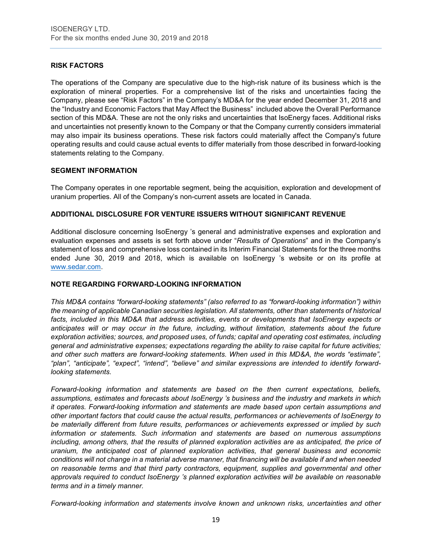# **RISK FACTORS**

The operations of the Company are speculative due to the high-risk nature of its business which is the exploration of mineral properties. For a comprehensive list of the risks and uncertainties facing the Company, please see "Risk Factors" in the Company's MD&A for the year ended December 31, 2018 and the "Industry and Economic Factors that May Affect the Business" included above the Overall Performance section of this MD&A. These are not the only risks and uncertainties that IsoEnergy faces. Additional risks and uncertainties not presently known to the Company or that the Company currently considers immaterial may also impair its business operations. These risk factors could materially affect the Company's future operating results and could cause actual events to differ materially from those described in forward-looking statements relating to the Company.

# **SEGMENT INFORMATION**

The Company operates in one reportable segment, being the acquisition, exploration and development of uranium properties. All of the Company's non-current assets are located in Canada.

# **ADDITIONAL DISCLOSURE FOR VENTURE ISSUERS WITHOUT SIGNIFICANT REVENUE**

Additional disclosure concerning IsoEnergy 's general and administrative expenses and exploration and evaluation expenses and assets is set forth above under "*Results of Operations*" and in the Company's statement of loss and comprehensive loss contained in its Interim Financial Statements for the three months ended June 30, 2019 and 2018, which is available on IsoEnergy 's website or on its profile at [www.sedar.com.](http://www.sedar.com/)

#### **NOTE REGARDING FORWARD-LOOKING INFORMATION**

*This MD&A contains "forward-looking statements" (also referred to as "forward-looking information") within the meaning of applicable Canadian securities legislation. All statements, other than statements of historical facts, included in this MD&A that address activities, events or developments that IsoEnergy expects or anticipates will or may occur in the future, including, without limitation, statements about the future exploration activities; sources, and proposed uses, of funds; capital and operating cost estimates, including general and administrative expenses; expectations regarding the ability to raise capital for future activities; and other such matters are forward-looking statements. When used in this MD&A, the words "estimate", "plan", "anticipate", "expect", "intend", "believe" and similar expressions are intended to identify forwardlooking statements.* 

*Forward-looking information and statements are based on the then current expectations, beliefs, assumptions, estimates and forecasts about IsoEnergy 's business and the industry and markets in which it operates. Forward-looking information and statements are made based upon certain assumptions and other important factors that could cause the actual results, performances or achievements of IsoEnergy to be materially different from future results, performances or achievements expressed or implied by such information or statements. Such information and statements are based on numerous assumptions including, among others, that the results of planned exploration activities are as anticipated, the price of uranium, the anticipated cost of planned exploration activities, that general business and economic conditions will not change in a material adverse manner, that financing will be available if and when needed on reasonable terms and that third party contractors, equipment, supplies and governmental and other approvals required to conduct IsoEnergy 's planned exploration activities will be available on reasonable terms and in a timely manner.* 

*Forward-looking information and statements involve known and unknown risks, uncertainties and other*